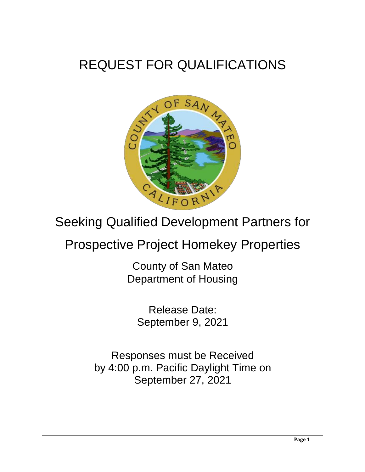# REQUEST FOR QUALIFICATIONS



# Seeking Qualified Development Partners for

# Prospective Project Homekey Properties

County of San Mateo Department of Housing

Release Date: September 9, 2021

Responses must be Received by 4:00 p.m. Pacific Daylight Time on September 27, 2021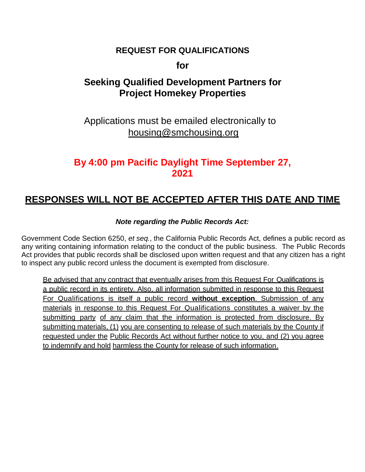## **REQUEST FOR QUALIFICATIONS**

**for**

## **Seeking Qualified Development Partners for Project Homekey Properties**

Applications must be emailed electronically to housing@smchousing.org

## **By 4:00 pm Pacific Daylight Time September 27, 2021**

## **RESPONSES WILL NOT BE ACCEPTED AFTER THIS DATE AND TIME**

#### *Note regarding the Public Records Act:*

Government Code Section 6250, *et seq.*, the California Public Records Act, defines a public record as any writing containing information relating to the conduct of the public business. The Public Records Act provides that public records shall be disclosed upon written request and that any citizen has a right to inspect any public record unless the document is exempted from disclosure.

Be advised that any contract that eventually arises from this Request For Qualifications is a public record in its entirety. Also, all information submitted in response to this Request For Qualifications is itself a public record **without exception**. Submission of any materials in response to this Request For Qualifications constitutes a waiver by the submitting party of any claim that the information is protected from disclosure. By submitting materials, (1) you are consenting to release of such materials by the County if requested under the Public Records Act without further notice to you, and (2) you agree to indemnify and hold harmless the County for release of such information.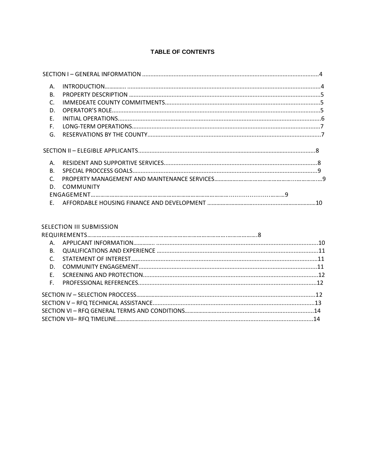#### TABLE OF CONTENTS

| Α.           |                  |  |
|--------------|------------------|--|
| $\mathsf{B}$ |                  |  |
| $\mathsf{C}$ |                  |  |
| D.           |                  |  |
| Ε.           |                  |  |
| F.           |                  |  |
| G.           |                  |  |
|              |                  |  |
| Α.           |                  |  |
| $\mathbf{B}$ |                  |  |
| $\mathsf{C}$ |                  |  |
| D.           | <b>COMMUNITY</b> |  |
|              |                  |  |
| F.           |                  |  |
|              |                  |  |

#### **SELECTION III SUBMISSION**

| A.             |  |
|----------------|--|
| <b>B.</b>      |  |
| $\mathsf{C}$ . |  |
| D.             |  |
| $F_{\perp}$    |  |
| F.             |  |
|                |  |
|                |  |
|                |  |
|                |  |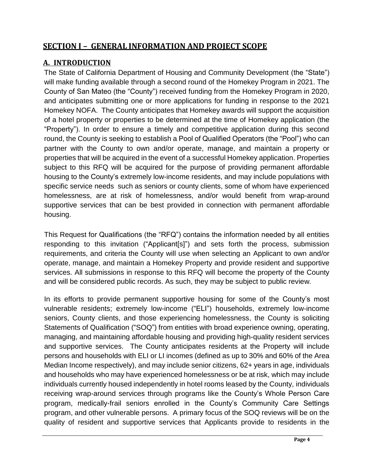## **SECTION I – GENERAL INFORMATION AND PROJECT SCOPE**

### **A. INTRODUCTION**

The State of California Department of Housing and Community Development (the "State") will make funding available through a second round of the Homekey Program in 2021. The County of San Mateo (the "County") received funding from the Homekey Program in 2020, and anticipates submitting one or more applications for funding in response to the 2021 Homekey NOFA. The County anticipates that Homekey awards will support the acquisition of a hotel property or properties to be determined at the time of Homekey application (the "Property"). In order to ensure a timely and competitive application during this second round, the County is seeking to establish a Pool of Qualified Operators (the "Pool") who can partner with the County to own and/or operate, manage, and maintain a property or properties that will be acquired in the event of a successful Homekey application. Properties subject to this RFQ will be acquired for the purpose of providing permanent affordable housing to the County's extremely low-income residents, and may include populations with specific service needs such as seniors or county clients, some of whom have experienced homelessness, are at risk of homelessness, and/or would benefit from wrap-around supportive services that can be best provided in connection with permanent affordable housing.

This Request for Qualifications (the "RFQ") contains the information needed by all entities responding to this invitation ("Applicant[s]") and sets forth the process, submission requirements, and criteria the County will use when selecting an Applicant to own and/or operate, manage, and maintain a Homekey Property and provide resident and supportive services. All submissions in response to this RFQ will become the property of the County and will be considered public records. As such, they may be subject to public review.

In its efforts to provide permanent supportive housing for some of the County's most vulnerable residents; extremely low-income ("ELI") households, extremely low-income seniors, County clients, and those experiencing homelessness, the County is soliciting Statements of Qualification ("SOQ") from entities with broad experience owning, operating, managing, and maintaining affordable housing and providing high-quality resident services and supportive services. The County anticipates residents at the Property will include persons and households with ELI or LI incomes (defined as up to 30% and 60% of the Area Median Income respectively), and may include senior citizens, 62+ years in age, individuals and households who may have experienced homelessness or be at risk, which may include individuals currently housed independently in hotel rooms leased by the County, individuals receiving wrap-around services through programs like the County's Whole Person Care program, medically-frail seniors enrolled in the County's Community Care Settings program, and other vulnerable persons. A primary focus of the SOQ reviews will be on the quality of resident and supportive services that Applicants provide to residents in the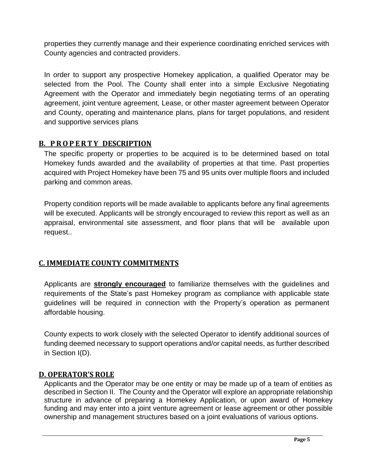properties they currently manage and their experience coordinating enriched services with County agencies and contracted providers.

In order to support any prospective Homekey application, a qualified Operator may be selected from the Pool. The County shall enter into a simple Exclusive Negotiating Agreement with the Operator and immediately begin negotiating terms of an operating agreement, joint venture agreement, Lease, or other master agreement between Operator and County, operating and maintenance plans, plans for target populations, and resident and supportive services plans

#### **B. P R O P E R T Y DESCRIPTION**

The specific property or properties to be acquired is to be determined based on total Homekey funds awarded and the availability of properties at that time. Past properties acquired with Project Homekey have been 75 and 95 units over multiple floors and included parking and common areas.

Property condition reports will be made available to applicants before any final agreements will be executed. Applicants will be strongly encouraged to review this report as well as an appraisal, environmental site assessment, and floor plans that will be available upon request..

### **C. IMMEDIATE COUNTY COMMITMENTS**

Applicants are **strongly encouraged** to familiarize themselves with the guidelines and requirements of the State's past Homekey program as compliance with applicable state guidelines will be required in connection with the Property's operation as permanent affordable housing.

County expects to work closely with the selected Operator to identify additional sources of funding deemed necessary to support operations and/or capital needs, as further described in Section I(D).

#### **D. OPERATOR'S ROLE**

Applicants and the Operator may be one entity or may be made up of a team of entities as described in Section II. The County and the Operator will explore an appropriate relationship structure in advance of preparing a Homekey Application, or upon award of Homekey funding and may enter into a joint venture agreement or lease agreement or other possible ownership and management structures based on a joint evaluations of various options.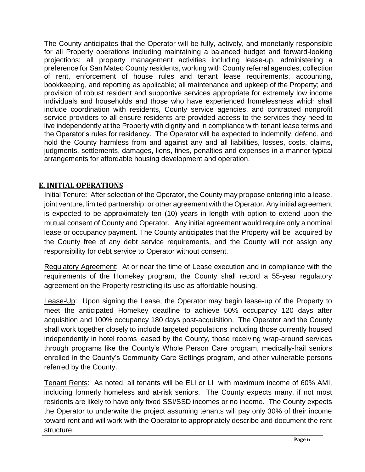The County anticipates that the Operator will be fully, actively, and monetarily responsible for all Property operations including maintaining a balanced budget and forward-looking projections; all property management activities including lease-up, administering a preference for San Mateo County residents, working with County referral agencies, collection of rent, enforcement of house rules and tenant lease requirements, accounting, bookkeeping, and reporting as applicable; all maintenance and upkeep of the Property; and provision of robust resident and supportive services appropriate for extremely low income individuals and households and those who have experienced homelessness which shall include coordination with residents, County service agencies, and contracted nonprofit service providers to all ensure residents are provided access to the services they need to live independently at the Property with dignity and in compliance with tenant lease terms and the Operator's rules for residency. The Operator will be expected to indemnify, defend, and hold the County harmless from and against any and all liabilities, losses, costs, claims, judgments, settlements, damages, liens, fines, penalties and expenses in a manner typical arrangements for affordable housing development and operation.

### **E. INITIAL OPERATIONS**

Initial Tenure: After selection of the Operator, the County may propose entering into a lease, joint venture, limited partnership, or other agreement with the Operator. Any initial agreement is expected to be approximately ten (10) years in length with option to extend upon the mutual consent of County and Operator. Any initial agreement would require only a nominal lease or occupancy payment. The County anticipates that the Property will be acquired by the County free of any debt service requirements, and the County will not assign any responsibility for debt service to Operator without consent.

Regulatory Agreement: At or near the time of Lease execution and in compliance with the requirements of the Homekey program, the County shall record a 55-year regulatory agreement on the Property restricting its use as affordable housing.

Lease-Up: Upon signing the Lease, the Operator may begin lease-up of the Property to meet the anticipated Homekey deadline to achieve 50% occupancy 120 days after acquisition and 100% occupancy 180 days post-acquisition. The Operator and the County shall work together closely to include targeted populations including those currently housed independently in hotel rooms leased by the County, those receiving wrap-around services through programs like the County's Whole Person Care program, medically-frail seniors enrolled in the County's Community Care Settings program, and other vulnerable persons referred by the County.

Tenant Rents: As noted, all tenants will be ELI or LI with maximum income of 60% AMI, including formerly homeless and at-risk seniors. The County expects many, if not most residents are likely to have only fixed SSI/SSD incomes or no income. The County expects the Operator to underwrite the project assuming tenants will pay only 30% of their income toward rent and will work with the Operator to appropriately describe and document the rent structure.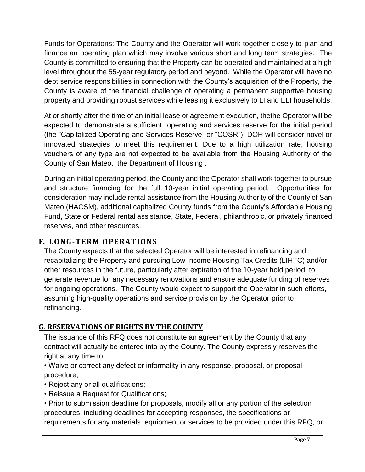Funds for Operations: The County and the Operator will work together closely to plan and finance an operating plan which may involve various short and long term strategies. The County is committed to ensuring that the Property can be operated and maintained at a high level throughout the 55-year regulatory period and beyond. While the Operator will have no debt service responsibilities in connection with the County's acquisition of the Property, the County is aware of the financial challenge of operating a permanent supportive housing property and providing robust services while leasing it exclusively to LI and ELI households.

At or shortly after the time of an initial lease or agreement execution, thethe Operator will be expected to demonstrate a sufficient operating and services reserve for the initial period (the "Capitalized Operating and Services Reserve" or "COSR"). DOH will consider novel or innovated strategies to meet this requirement. Due to a high utilization rate, housing vouchers of any type are not expected to be available from the Housing Authority of the County of San Mateo. the Department of Housing .

During an initial operating period, the County and the Operator shall work together to pursue and structure financing for the full 10-year initial operating period. Opportunities for consideration may include rental assistance from the Housing Authority of the County of San Mateo (HACSM), additional capitalized County funds from the County's Affordable Housing Fund, State or Federal rental assistance, State, Federal, philanthropic, or privately financed reserves, and other resources.

## **F. LO NG-T ERM O PERATI ONS**

The County expects that the selected Operator will be interested in refinancing and recapitalizing the Property and pursuing Low Income Housing Tax Credits (LIHTC) and/or other resources in the future, particularly after expiration of the 10-year hold period, to generate revenue for any necessary renovations and ensure adequate funding of reserves for ongoing operations. The County would expect to support the Operator in such efforts, assuming high-quality operations and service provision by the Operator prior to refinancing.

## **G. RESERVATIONS OF RIGHTS BY THE COUNTY**

The issuance of this RFQ does not constitute an agreement by the County that any contract will actually be entered into by the County. The County expressly reserves the right at any time to:

• Waive or correct any defect or informality in any response, proposal, or proposal procedure;

- Reject any or all qualifications;
- Reissue a Request for Qualifications;

• Prior to submission deadline for proposals, modify all or any portion of the selection procedures, including deadlines for accepting responses, the specifications or requirements for any materials, equipment or services to be provided under this RFQ, or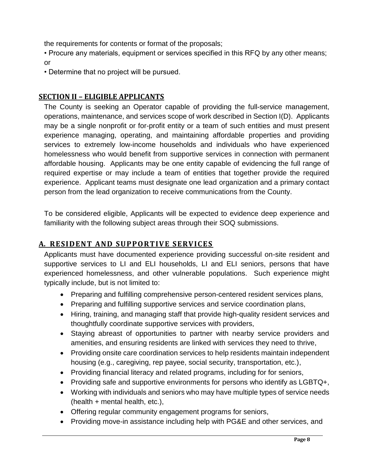the requirements for contents or format of the proposals;

• Procure any materials, equipment or services specified in this RFQ by any other means; or

• Determine that no project will be pursued.

#### **SECTION II – ELIGIBLE APPLICANTS**

The County is seeking an Operator capable of providing the full-service management, operations, maintenance, and services scope of work described in Section I(D). Applicants may be a single nonprofit or for-profit entity or a team of such entities and must present experience managing, operating, and maintaining affordable properties and providing services to extremely low-income households and individuals who have experienced homelessness who would benefit from supportive services in connection with permanent affordable housing. Applicants may be one entity capable of evidencing the full range of required expertise or may include a team of entities that together provide the required experience. Applicant teams must designate one lead organization and a primary contact person from the lead organization to receive communications from the County.

To be considered eligible, Applicants will be expected to evidence deep experience and familiarity with the following subject areas through their SOQ submissions.

#### <u>A. RESIDENT AND SUPPORTIVE SERVICES</u>

Applicants must have documented experience providing successful on-site resident and supportive services to LI and ELI households, LI and ELI seniors, persons that have experienced homelessness, and other vulnerable populations. Such experience might typically include, but is not limited to:

- Preparing and fulfilling comprehensive person-centered resident services plans,
- Preparing and fulfilling supportive services and service coordination plans,
- Hiring, training, and managing staff that provide high-quality resident services and thoughtfully coordinate supportive services with providers,
- Staying abreast of opportunities to partner with nearby service providers and amenities, and ensuring residents are linked with services they need to thrive,
- Providing onsite care coordination services to help residents maintain independent housing (e.g., caregiving, rep payee, social security, transportation, etc.),
- Providing financial literacy and related programs, including for for seniors,
- Providing safe and supportive environments for persons who identify as LGBTQ+,
- Working with individuals and seniors who may have multiple types of service needs (health + mental health, etc.),
- Offering regular community engagement programs for seniors,
- Providing move-in assistance including help with PG&E and other services, and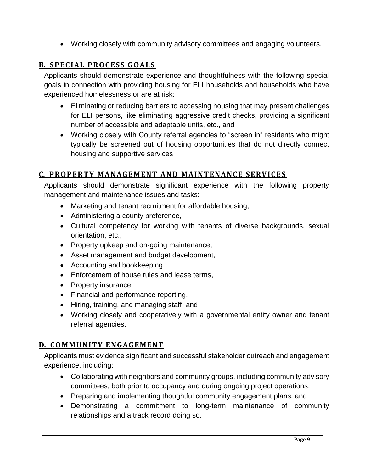• Working closely with community advisory committees and engaging volunteers.

### **B. SPECIAL PROCESS GOALS**

Applicants should demonstrate experience and thoughtfulness with the following special goals in connection with providing housing for ELI households and households who have experienced homelessness or are at risk:

- Eliminating or reducing barriers to accessing housing that may present challenges for ELI persons, like eliminating aggressive credit checks, providing a significant number of accessible and adaptable units, etc., and
- Working closely with County referral agencies to "screen in" residents who might typically be screened out of housing opportunities that do not directly connect housing and supportive services

## **C. PROPERTY MANAGEMENT AND MAINTENANCE SERVICES**

Applicants should demonstrate significant experience with the following property management and maintenance issues and tasks:

- Marketing and tenant recruitment for affordable housing,
- Administering a county preference,
- Cultural competency for working with tenants of diverse backgrounds, sexual orientation, etc.,
- Property upkeep and on-going maintenance,
- Asset management and budget development,
- Accounting and bookkeeping,
- Enforcement of house rules and lease terms,
- Property insurance,
- Financial and performance reporting,
- Hiring, training, and managing staff, and
- Working closely and cooperatively with a governmental entity owner and tenant referral agencies.

#### **D. COMMUNITY ENGAGEMENT**

Applicants must evidence significant and successful stakeholder outreach and engagement experience, including:

- Collaborating with neighbors and community groups, including community advisory committees, both prior to occupancy and during ongoing project operations,
- Preparing and implementing thoughtful community engagement plans, and
- Demonstrating a commitment to long-term maintenance of community relationships and a track record doing so.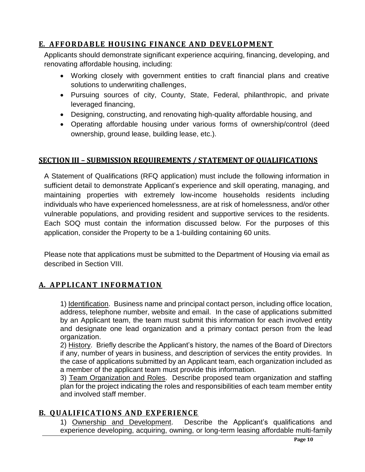## **E. AFFORDABLE HOUSING FINANCE AND DEVELOPMENT**

Applicants should demonstrate significant experience acquiring, financing, developing, and renovating affordable housing, including:

- Working closely with government entities to craft financial plans and creative solutions to underwriting challenges,
- Pursuing sources of city, County, State, Federal, philanthropic, and private leveraged financing,
- Designing, constructing, and renovating high-quality affordable housing, and
- Operating affordable housing under various forms of ownership/control (deed ownership, ground lease, building lease, etc.).

## **SECTION III – SUBMISSION REQUIREMENTS / STATEMENT OF QUALIFICATIONS**

A Statement of Qualifications (RFQ application) must include the following information in sufficient detail to demonstrate Applicant's experience and skill operating, managing, and maintaining properties with extremely low-income households residents including individuals who have experienced homelessness, are at risk of homelessness, and/or other vulnerable populations, and providing resident and supportive services to the residents. Each SOQ must contain the information discussed below. For the purposes of this application, consider the Property to be a 1-building containing 60 units.

Please note that applications must be submitted to the Department of Housing via email as described in Section VIII.

## **A. APPLICANT INFORMATION**

1) Identification. Business name and principal contact person, including office location, address, telephone number, website and email. In the case of applications submitted by an Applicant team, the team must submit this information for each involved entity and designate one lead organization and a primary contact person from the lead organization.

2) History. Briefly describe the Applicant's history, the names of the Board of Directors if any, number of years in business, and description of services the entity provides. In the case of applications submitted by an Applicant team, each organization included as a member of the applicant team must provide this information.

3) Team Organization and Roles. Describe proposed team organization and staffing plan for the project indicating the roles and responsibilities of each team member entity and involved staff member.

### **B. QUALIFICATIONS AND EXPERIENCE**

1) Ownership and Development. Describe the Applicant's qualifications and experience developing, acquiring, owning, or long-term leasing affordable multi-family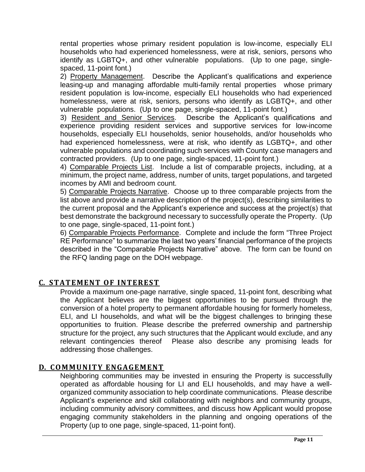rental properties whose primary resident population is low-income, especially ELI households who had experienced homelessness, were at risk, seniors, persons who identify as LGBTQ+, and other vulnerable populations. (Up to one page, singlespaced, 11-point font.)

2) Property Management. Describe the Applicant's qualifications and experience leasing-up and managing affordable multi-family rental properties whose primary resident population is low-income, especially ELI households who had experienced homelessness, were at risk, seniors, persons who identify as LGBTQ+, and other vulnerable populations. (Up to one page, single-spaced, 11-point font.)

3) Resident and Senior Services. Describe the Applicant's qualifications and experience providing resident services and supportive services for low-income households, especially ELI households, senior households, and/or households who had experienced homelessness, were at risk, who identify as LGBTQ+, and other vulnerable populations and coordinating such services with County case managers and contracted providers. (Up to one page, single-spaced, 11-point font.)

4) Comparable Projects List. Include a list of comparable projects, including, at a minimum, the project name, address, number of units, target populations, and targeted incomes by AMI and bedroom count.

5) Comparable Projects Narrative. Choose up to three comparable projects from the list above and provide a narrative description of the project(s), describing similarities to the current proposal and the Applicant's experience and success at the project(s) that best demonstrate the background necessary to successfully operate the Property. (Up to one page, single-spaced, 11-point font.)

6) Comparable Projects Performance. Complete and include the form "Three Project RE Performance" to summarize the last two years' financial performance of the projects described in the "Comparable Projects Narrative" above. The form can be found on the RFQ landing page on the DOH webpage.

### **C. STATEMENT OF INTEREST**

Provide a maximum one-page narrative, single spaced, 11-point font, describing what the Applicant believes are the biggest opportunities to be pursued through the conversion of a hotel property to permanent affordable housing for formerly homeless, ELI, and LI households, and what will be the biggest challenges to bringing these opportunities to fruition. Please describe the preferred ownership and partnership structure for the project, any such structures that the Applicant would exclude, and any relevant contingencies thereof Please also describe any promising leads for addressing those challenges.

#### **D. COMMUNITY ENGAGEMENT**

Neighboring communities may be invested in ensuring the Property is successfully operated as affordable housing for LI and ELI households, and may have a wellorganized community association to help coordinate communications. Please describe Applicant's experience and skill collaborating with neighbors and community groups, including community advisory committees, and discuss how Applicant would propose engaging community stakeholders in the planning and ongoing operations of the Property (up to one page, single-spaced, 11-point font).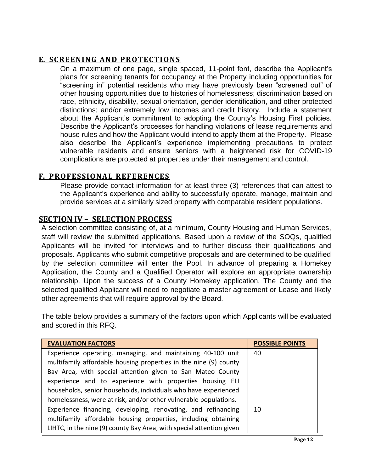#### **E. SCREENING AND PROTECTIONS**

On a maximum of one page, single spaced, 11-point font, describe the Applicant's plans for screening tenants for occupancy at the Property including opportunities for "screening in" potential residents who may have previously been "screened out" of other housing opportunities due to histories of homelessness; discrimination based on race, ethnicity, disability, sexual orientation, gender identification, and other protected distinctions; and/or extremely low incomes and credit history. Include a statement about the Applicant's commitment to adopting the County's Housing First policies. Describe the Applicant's processes for handling violations of lease requirements and house rules and how the Applicant would intend to apply them at the Property. Please also describe the Applicant's experience implementing precautions to protect vulnerable residents and ensure seniors with a heightened risk for COVID-19 complications are protected at properties under their management and control.

#### **F. PROF ESSIO NAL REF ERENCES**

Please provide contact information for at least three (3) references that can attest to the Applicant's experience and ability to successfully operate, manage, maintain and provide services at a similarly sized property with comparable resident populations.

### **SECTION IV – SELECTION PROCESS**

A selection committee consisting of, at a minimum, County Housing and Human Services, staff will review the submitted applications. Based upon a review of the SOQs, qualified Applicants will be invited for interviews and to further discuss their qualifications and proposals. Applicants who submit competitive proposals and are determined to be qualified by the selection committee will enter the Pool. In advance of preparing a Homekey Application, the County and a Qualified Operator will explore an appropriate ownership relationship. Upon the success of a County Homekey application, The County and the selected qualified Applicant will need to negotiate a master agreement or Lease and likely other agreements that will require approval by the Board.

The table below provides a summary of the factors upon which Applicants will be evaluated and scored in this RFQ.

| <b>EVALUATION FACTORS</b>                                            | <b>POSSIBLE POINTS</b> |
|----------------------------------------------------------------------|------------------------|
| Experience operating, managing, and maintaining 40-100 unit          | 40                     |
| multifamily affordable housing properties in the nine (9) county     |                        |
| Bay Area, with special attention given to San Mateo County           |                        |
| experience and to experience with properties housing ELI             |                        |
| households, senior households, individuals who have experienced      |                        |
| homelessness, were at risk, and/or other vulnerable populations.     |                        |
| Experience financing, developing, renovating, and refinancing        | 10                     |
| multifamily affordable housing properties, including obtaining       |                        |
| LIHTC, in the nine (9) county Bay Area, with special attention given |                        |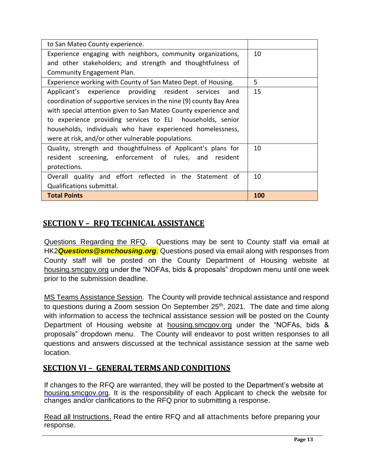| to San Mateo County experience.                                     |     |
|---------------------------------------------------------------------|-----|
| Experience engaging with neighbors, community organizations,        | 10  |
| and other stakeholders; and strength and thoughtfulness of          |     |
| Community Engagement Plan.                                          |     |
| Experience working with County of San Mateo Dept. of Housing.       | 5   |
| Applicant's experience providing resident services and              | 15  |
| coordination of supportive services in the nine (9) county Bay Area |     |
| with special attention given to San Mateo County experience and     |     |
| to experience providing services to ELI households, senior          |     |
| households, individuals who have experienced homelessness,          |     |
| were at risk, and/or other vulnerable populations.                  |     |
| Quality, strength and thoughtfulness of Applicant's plans for       | 10  |
| resident screening, enforcement of rules, and resident              |     |
| protections.                                                        |     |
| Overall quality and effort reflected in the Statement of            | 10  |
| Qualifications submittal.                                           |     |
| <b>Total Points</b>                                                 | 100 |

## **SECTION V – RFQ TECHNICAL ASSISTANCE**

Questions Regarding the RFQ. Questions may be sent to County staff via email at HK2*Questions@smchousing.org*. Questions posed via email along with responses from County staff will be posted on the County Department of Housing website at housing.smcgov.org under the "NOFAs, bids & proposals" dropdown menu until one week prior to the submission deadline.

MS Teams Assistance Session. The County will provide technical assistance and respond to questions during a Zoom session On September 25<sup>th</sup>, 2021. The date and time along with information to access the technical assistance session will be posted on the County Department of Housing website at housing.smcgov.org under the "NOFAs, bids & proposals" dropdown menu. The County will endeavor to post written responses to all questions and answers discussed at the technical assistance session at the same web location.

## **SECTION VI – GENERAL TERMS AND CONDITIONS**

If changes to the RFQ are warranted, they will be posted to the Department's website at housing.smcgov.org. It is the responsibility of each Applicant to check the website for changes and/or clarifications to the RFQ prior to submitting a response.

Read all Instructions. Read the entire RFQ and all attachments before preparing your response.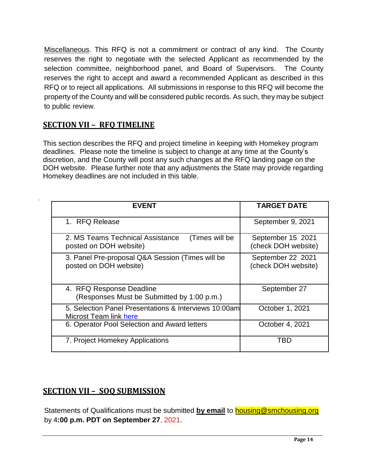Miscellaneous. This RFQ is not a commitment or contract of any kind. The County reserves the right to negotiate with the selected Applicant as recommended by the selection committee, neighborhood panel, and Board of Supervisors. The County reserves the right to accept and award a recommended Applicant as described in this RFQ or to reject all applications. All submissions in response to this RFQ will become the property of the County and will be considered public records. As such, they may be subject to public review.

## **SECTION VII – RFQ TIMELINE**

This section describes the RFQ and project timeline in keeping with Homekey program deadlines. Please note the timeline is subject to change at any time at the County's discretion, and the County will post any such changes at the RFQ landing page on the DOH website. Please further note that any adjustments the State may provide regarding Homekey deadlines are not included in this table.

| <b>FVFNT</b>                                                                    | <b>TARGET DATE</b>                       |
|---------------------------------------------------------------------------------|------------------------------------------|
| 1. RFQ Release                                                                  | September 9, 2021                        |
| 2. MS Teams Technical Assistance<br>(Times will be<br>posted on DOH website)    | September 15 2021<br>(check DOH website) |
| 3. Panel Pre-proposal Q&A Session (Times will be<br>posted on DOH website)      | September 22 2021<br>(check DOH website) |
| 4. RFQ Response Deadline<br>(Responses Must be Submitted by 1:00 p.m.)          | September 27                             |
| 5. Selection Panel Presentations & Interviews 10:00am<br>Microst Team link here | October 1, 2021                          |
| 6. Operator Pool Selection and Award letters                                    | October 4, 2021                          |
| 7. Project Homekey Applications                                                 | TBD                                      |

## **SECTION VII – SOQ SUBMISSION**

Statements of Qualifications must be submitted **by email** to [housing@smchousing.org](mailto:housing@smchousing.org) by 4**:00 p.m. PDT on September 27**, 2021.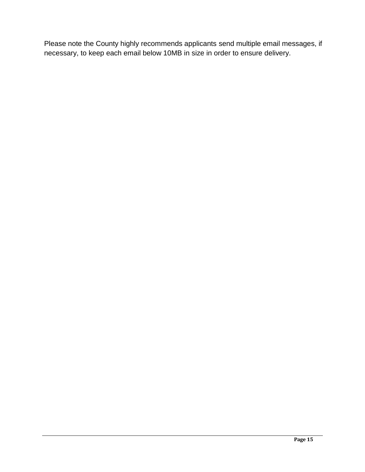Please note the County highly recommends applicants send multiple email messages, if necessary, to keep each email below 10MB in size in order to ensure delivery.